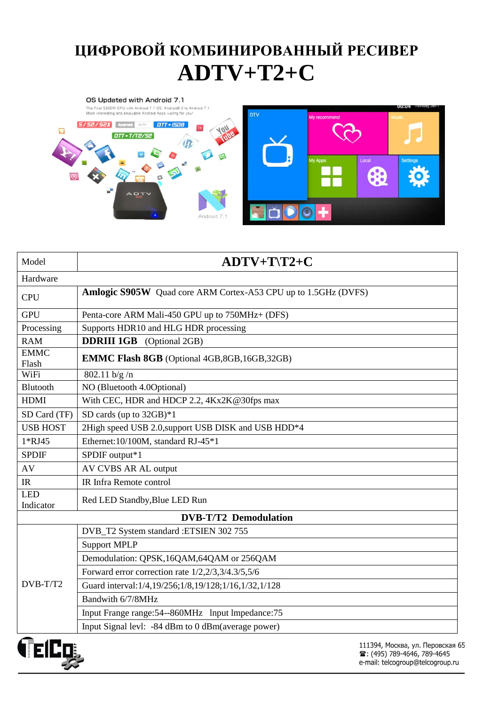## **ЦИФРОВОЙ КОМБИНИРОВАННЫЙ РЕСИВЕР ADTV+T2+C**



| Model                        | $ADTV+T\$ 72+C                                                        |  |  |  |  |  |
|------------------------------|-----------------------------------------------------------------------|--|--|--|--|--|
| Hardware                     |                                                                       |  |  |  |  |  |
| <b>CPU</b>                   | <b>Amlogic S905W</b> Quad core ARM Cortex-A53 CPU up to 1.5GHz (DVFS) |  |  |  |  |  |
| <b>GPU</b>                   | Penta-core ARM Mali-450 GPU up to 750MHz+ (DFS)                       |  |  |  |  |  |
| Processing                   | Supports HDR10 and HLG HDR processing                                 |  |  |  |  |  |
| <b>RAM</b>                   | <b>DDRIII 1GB</b> (Optional 2GB)                                      |  |  |  |  |  |
| <b>EMMC</b><br>Flash         | <b>EMMC Flash 8GB</b> (Optional 4GB, 8GB, 16GB, 32GB)                 |  |  |  |  |  |
| WiFi                         | 802.11 b/g/n                                                          |  |  |  |  |  |
| Blutooth                     | NO (Bluetooth 4.0Optional)                                            |  |  |  |  |  |
| <b>HDMI</b>                  | With CEC, HDR and HDCP 2.2, 4Kx2K@30fps max                           |  |  |  |  |  |
| SD Card (TF)                 | SD cards (up to $32GB$ )*1                                            |  |  |  |  |  |
| <b>USB HOST</b>              | 2High speed USB 2.0, support USB DISK and USB HDD*4                   |  |  |  |  |  |
| 1*RJ45                       | Ethernet: 10/100M, standard RJ-45*1                                   |  |  |  |  |  |
| <b>SPDIF</b>                 | SPDIF output*1                                                        |  |  |  |  |  |
| AV                           | AV CVBS AR AL output                                                  |  |  |  |  |  |
| IR                           | IR Infra Remote control                                               |  |  |  |  |  |
| <b>LED</b><br>Indicator      | Red LED Standby, Blue LED Run                                         |  |  |  |  |  |
| <b>DVB-T/T2 Demodulation</b> |                                                                       |  |  |  |  |  |
| DVB-T/T2                     | DVB_T2 System standard : ETSIEN 302 755                               |  |  |  |  |  |
|                              | <b>Support MPLP</b>                                                   |  |  |  |  |  |
|                              | Demodulation: QPSK, 16QAM, 64QAM or 256QAM                            |  |  |  |  |  |
|                              | Forward error correction rate 1/2,2/3,3/4.3/5,5/6                     |  |  |  |  |  |
|                              | Guard interval: 1/4,19/256;1/8,19/128;1/16,1/32,1/128                 |  |  |  |  |  |
|                              | Bandwith 6/7/8MHz                                                     |  |  |  |  |  |
|                              | Input Frange range: 54--860MHz lnput lmpedance: 75                    |  |  |  |  |  |
|                              | Input Signal levl: -84 dBm to 0 dBm(average power)                    |  |  |  |  |  |
| Œ.<br>– 4 <b>p.n.</b>        | $111204$ Mosica $16$ Depending                                        |  |  |  |  |  |

**VEILT**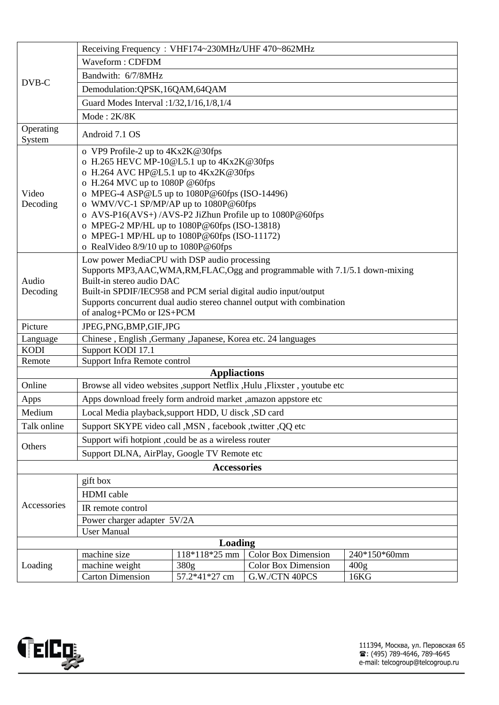|                                                                                                             | Receiving Frequency: VHF174~230MHz/UHF 470~862MHz                                                |               |                            |                  |  |  |
|-------------------------------------------------------------------------------------------------------------|--------------------------------------------------------------------------------------------------|---------------|----------------------------|------------------|--|--|
| DVB-C                                                                                                       | Waveform: CDFDM                                                                                  |               |                            |                  |  |  |
|                                                                                                             | Bandwith: 6/7/8MHz                                                                               |               |                            |                  |  |  |
|                                                                                                             | Demodulation: QPSK, 16QAM, 64QAM                                                                 |               |                            |                  |  |  |
|                                                                                                             | Guard Modes Interval : 1/32, 1/16, 1/8, 1/4                                                      |               |                            |                  |  |  |
|                                                                                                             | Mode: 2K/8K                                                                                      |               |                            |                  |  |  |
| Operating                                                                                                   |                                                                                                  |               |                            |                  |  |  |
| System                                                                                                      | Android 7.1 OS                                                                                   |               |                            |                  |  |  |
| Video<br>Decoding                                                                                           | o VP9 Profile-2 up to $4Kx2K@30fps$                                                              |               |                            |                  |  |  |
|                                                                                                             | o H.265 HEVC MP-10@L5.1 up to 4Kx2K@30fps                                                        |               |                            |                  |  |  |
|                                                                                                             | o H.264 AVC HP@L5.1 up to 4Kx2K@30fps                                                            |               |                            |                  |  |  |
|                                                                                                             | o H.264 MVC up to 1080P @60fps                                                                   |               |                            |                  |  |  |
|                                                                                                             | o MPEG-4 ASP@L5 up to 1080P@60fps (ISO-14496)                                                    |               |                            |                  |  |  |
|                                                                                                             | o WMV/VC-1 SP/MP/AP up to 1080P@60fps<br>o AVS-P16(AVS+)/AVS-P2 JiZhun Profile up to 1080P@60fps |               |                            |                  |  |  |
|                                                                                                             | o MPEG-2 MP/HL up to 1080P@60fps (ISO-13818)                                                     |               |                            |                  |  |  |
|                                                                                                             | o MPEG-1 MP/HL up to 1080P@60fps (ISO-11172)                                                     |               |                            |                  |  |  |
|                                                                                                             | o RealVideo 8/9/10 up to 1080P@60fps                                                             |               |                            |                  |  |  |
|                                                                                                             | Low power MediaCPU with DSP audio processing                                                     |               |                            |                  |  |  |
|                                                                                                             | Supports MP3, AAC, WMA, RM, FLAC, Ogg and programmable with 7.1/5.1 down-mixing                  |               |                            |                  |  |  |
| Audio                                                                                                       | Built-in stereo audio DAC                                                                        |               |                            |                  |  |  |
| Decoding                                                                                                    | Built-in SPDIF/IEC958 and PCM serial digital audio input/output                                  |               |                            |                  |  |  |
|                                                                                                             | Supports concurrent dual audio stereo channel output with combination                            |               |                            |                  |  |  |
|                                                                                                             | of analog+PCMo or I2S+PCM                                                                        |               |                            |                  |  |  |
| Picture                                                                                                     | JPEG, PNG, BMP, GIF, JPG                                                                         |               |                            |                  |  |  |
| Language                                                                                                    | Chinese, English, Germany, Japanese, Korea etc. 24 languages                                     |               |                            |                  |  |  |
| <b>KODI</b>                                                                                                 | Support KODI 17.1                                                                                |               |                            |                  |  |  |
| Support Infra Remote control<br>Remote                                                                      |                                                                                                  |               |                            |                  |  |  |
| <b>Appliactions</b><br>Browse all video websites , support Netflix , Hulu , Flixster, youtube etc<br>Online |                                                                                                  |               |                            |                  |  |  |
| Apps                                                                                                        | Apps download freely form android market ,amazon appstore etc                                    |               |                            |                  |  |  |
| Medium                                                                                                      | Local Media playback, support HDD, U disck, SD card                                              |               |                            |                  |  |  |
| Talk online                                                                                                 | Support SKYPE video call , MSN, facebook, twitter, QQ etc                                        |               |                            |                  |  |  |
| Others                                                                                                      | Support wifi hotpiont , could be as a wireless router                                            |               |                            |                  |  |  |
|                                                                                                             | Support DLNA, AirPlay, Google TV Remote etc                                                      |               |                            |                  |  |  |
| <b>Accessories</b>                                                                                          |                                                                                                  |               |                            |                  |  |  |
| Accessories                                                                                                 | gift box                                                                                         |               |                            |                  |  |  |
|                                                                                                             | <b>HDMI</b> cable                                                                                |               |                            |                  |  |  |
|                                                                                                             | IR remote control                                                                                |               |                            |                  |  |  |
|                                                                                                             | Power charger adapter 5V/2A                                                                      |               |                            |                  |  |  |
|                                                                                                             | <b>User Manual</b>                                                                               |               |                            |                  |  |  |
| Loading                                                                                                     |                                                                                                  |               |                            |                  |  |  |
| Loading                                                                                                     | machine size                                                                                     | 118*118*25 mm | <b>Color Box Dimension</b> | 240*150*60mm     |  |  |
|                                                                                                             | machine weight                                                                                   | 380g          | <b>Color Box Dimension</b> | 400 <sub>g</sub> |  |  |
|                                                                                                             | <b>Carton Dimension</b>                                                                          | 57.2*41*27 cm | G.W./CTN 40PCS             | 16KG             |  |  |